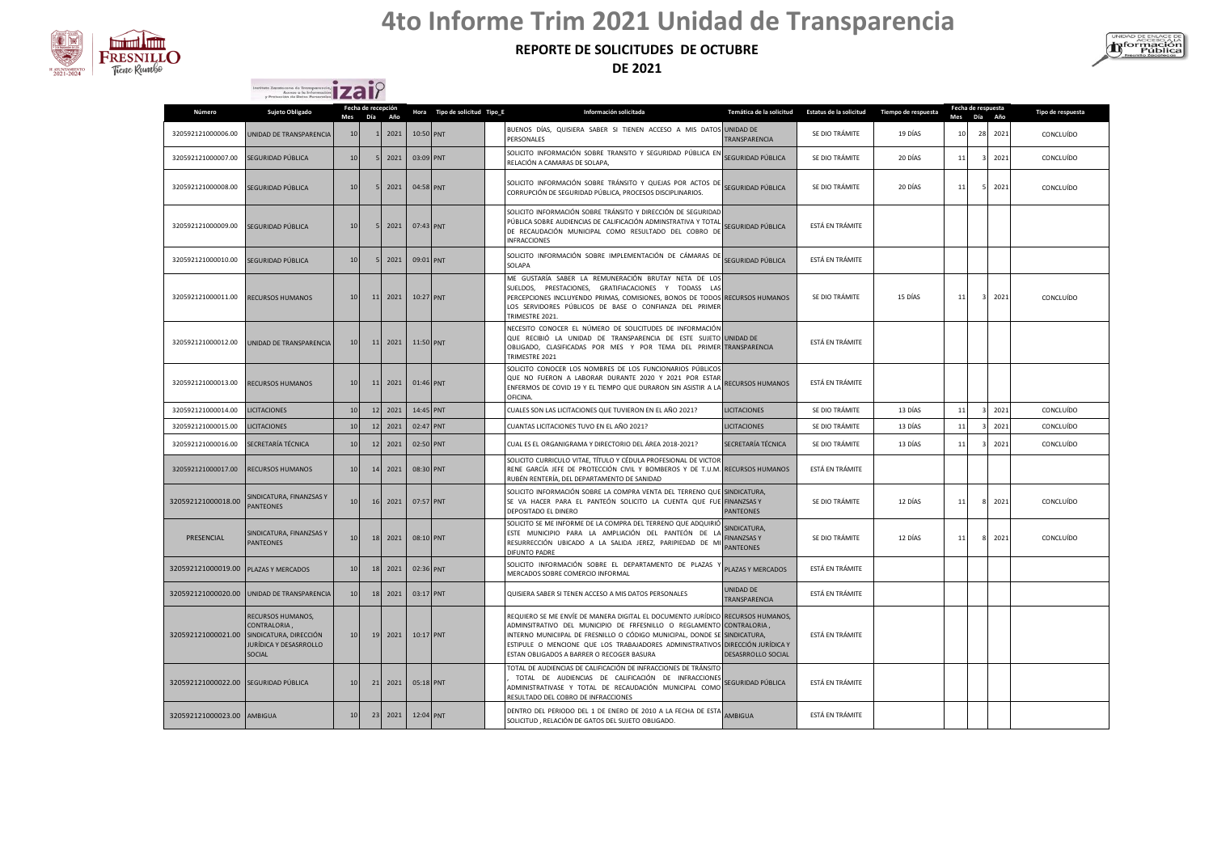

Instituto Zacatecono de Transporencia.

## **4to Informe Trim 2021 Unidad de Transparencia**

### **REPORTE DE SOLICITUDES DE OCTUBRE**

**DE 2021**



| y Protección de Datos Personales <b>de Carl II</b><br>Fecha de respuesta<br>Fecha de recepción |                                                                                                        |                 |                |                   |           |                               |  |                                                                                                                                                                                                                                                                                                                                         |                                                        |                         |                     |    |    |             |                   |
|------------------------------------------------------------------------------------------------|--------------------------------------------------------------------------------------------------------|-----------------|----------------|-------------------|-----------|-------------------------------|--|-----------------------------------------------------------------------------------------------------------------------------------------------------------------------------------------------------------------------------------------------------------------------------------------------------------------------------------------|--------------------------------------------------------|-------------------------|---------------------|----|----|-------------|-------------------|
| Número                                                                                         | Sujeto Obligado                                                                                        | Mes             | Día            | Año               |           | Hora Tipo de solicitud Tipo_E |  | Información solicitada                                                                                                                                                                                                                                                                                                                  | Temática de la solicitud                               | Estatus de la solicitud | Tiempo de respuesta |    |    | Mes Día Año | Tipo de respuesta |
| 320592121000006.00                                                                             | UNIDAD DE TRANSPARENCIA                                                                                | 10              |                | 2021              | 10:50 PNT |                               |  | BUENOS DÍAS, QUISIERA SABER SI TIENEN ACCESO A MIS DATOS UNIDAD DE<br>PERSONALES                                                                                                                                                                                                                                                        | TRANSPARENCIA                                          | SE DIO TRÁMITE          | 19 DÍAS             | 10 | 28 | 2021        | CONCLUÍDO         |
| 320592121000007.00                                                                             | SEGURIDAD PÚBLICA                                                                                      | 10              |                | 2021              | 03:09 PNT |                               |  | SOLICITO INFORMACIÓN SOBRE TRANSITO Y SEGURIDAD PÚBLICA EN<br>RELACIÓN A CAMARAS DE SOLAPA,                                                                                                                                                                                                                                             | SEGURIDAD PÚBLICA                                      | SE DIO TRÁMITE          | 20 DÍAS             | 11 |    | 2021        | CONCLUÍDO         |
| 320592121000008.00                                                                             | SEGURIDAD PÚBLICA                                                                                      | 10 <sup>1</sup> | $\overline{5}$ | 2021              | 04:58 PNT |                               |  | SOLICITO INFORMACIÓN SOBRE TRÁNSITO Y QUEJAS POR ACTOS DE<br>CORRUPCIÓN DE SEGURIDAD PÚBLICA, PROCESOS DISCIPLINARIOS.                                                                                                                                                                                                                  | SEGURIDAD PÚBLICA                                      | SE DIO TRÁMITE          | 20 DÍAS             | 11 |    | 2021        | CONCLUÍDO         |
| 320592121000009.00                                                                             | SEGURIDAD PÚBLICA                                                                                      | 10              |                | $5 \ 2021$        | 07:43 PNT |                               |  | SOLICITO INFORMACIÓN SOBRE TRÁNSITO Y DIRECCIÓN DE SEGURIDAD<br>PÚBLICA SOBRE AUDIENCIAS DE CALIFICACIÓN ADMINSTRATIVA Y TOTAL<br>DE RECAUDACIÓN MUNICIPAL COMO RESULTADO DEL COBRO DE<br><b>INFRACCIONES</b>                                                                                                                           | SEGURIDAD PÚBLICA                                      | ESTÁ EN TRÁMITE         |                     |    |    |             |                   |
| 320592121000010.00                                                                             | SEGURIDAD PÚBLICA                                                                                      | 10              | 5              | 2021              | 09:01 PNT |                               |  | SOLICITO INFORMACIÓN SOBRE IMPLEMENTACIÓN DE CÁMARAS DE<br>SOLAPA                                                                                                                                                                                                                                                                       | SEGURIDAD PÚBLICA                                      | ESTÁ EN TRÁMITE         |                     |    |    |             |                   |
| 320592121000011.00                                                                             | RECURSOS HUMANOS                                                                                       | 10 <sup>1</sup> |                | 11 2021           | 10:27 PNT |                               |  | ME GUSTARÍA SABER LA REMUNERACIÓN BRUTAY NETA DE LOS<br>SUELDOS, PRESTACIONES, GRATIFIACACIONES Y TODASS LAS<br>PERCEPCIONES INCLUYENDO PRIMAS, COMISIONES, BONOS DE TODOS RECURSOS HUMANOS<br>LOS SERVIDORES PÚBLICOS DE BASE O CONFIANZA DEL PRIMER<br>TRIMESTRE 2021.                                                                |                                                        | SE DIO TRÁMITE          | 15 DÍAS             | 11 |    | 2021        | CONCLUÍDO         |
| 320592121000012.00                                                                             | UNIDAD DE TRANSPARENCIA                                                                                | 10              |                | 11 2021 11:50 PNT |           |                               |  | NECESITO CONOCER EL NÚMERO DE SOLICITUDES DE INFORMACIÓN<br>QUE RECIBIÓ LA UNIDAD DE TRANSPARENCIA DE ESTE SUJETO UNIDAD DE<br>OBLIGADO, CLASIFICADAS POR MES Y POR TEMA DEL PRIMER TRANSPARENCIA<br>TRIMESTRE 2021                                                                                                                     |                                                        | ESTÁ EN TRÁMITE         |                     |    |    |             |                   |
| 320592121000013.00                                                                             | RECURSOS HUMANOS                                                                                       | 10              |                | 11 2021 01:46 PNT |           |                               |  | SOLICITO CONOCER LOS NOMBRES DE LOS FUNCIONARIOS PÚBLICOS<br>QUE NO FUERON A LABORAR DURANTE 2020 Y 2021 POR ESTAR<br>ENFERMOS DE COVID 19 Y EL TIEMPO QUE DURARON SIN ASISTIR A LA<br>OFICINA.                                                                                                                                         | <b>RECURSOS HUMANOS</b>                                | ESTÁ EN TRÁMITE         |                     |    |    |             |                   |
| 320592121000014.00                                                                             | <b>LICITACIONES</b>                                                                                    | 10              | 12             | 2021              | 14:45 PNT |                               |  | CUALES SON LAS LICITACIONES QUE TUVIERON EN EL AÑO 2021?                                                                                                                                                                                                                                                                                | <b>LICITACIONES</b>                                    | SE DIO TRÁMITE          | 13 DÍAS             | 11 |    | 2021        | CONCLUÍDO         |
| 320592121000015.00                                                                             | <b>LICITACIONES</b>                                                                                    | 10              | 12             | 2021              | 02:47 PNT |                               |  | CUANTAS LICITACIONES TUVO EN EL AÑO 2021?                                                                                                                                                                                                                                                                                               | <b>LICITACIONES</b>                                    | SE DIO TRÁMITE          | 13 DÍAS             | 11 |    | 2021        | CONCLUÍDO         |
| 320592121000016.00                                                                             | SECRETARÍA TÉCNICA                                                                                     | 10              | 12             | 2021              | 02:50 PNT |                               |  | CUAL ES EL ORGANIGRAMA Y DIRECTORIO DEL ÁREA 2018-2021?                                                                                                                                                                                                                                                                                 | SECRETARÍA TÉCNICA                                     | SE DIO TRÁMITE          | 13 DÍAS             | 11 |    | 2021        | CONCLUÍDO         |
| 320592121000017.00                                                                             | <b>RECURSOS HUMANOS</b>                                                                                | 10              | 14             | 2021              | 08:30 PNT |                               |  | SOLICITO CURRICULO VITAE, TÍTULO Y CÉDULA PROFESIONAL DE VICTOR<br>RENE GARCÍA JEFE DE PROTECCIÓN CIVIL Y BOMBEROS Y DE T.U.M. RECURSOS HUMANOS<br>RUBÉN RENTERÍA, DEL DEPARTAMENTO DE SANIDAD                                                                                                                                          |                                                        | ESTÁ EN TRÁMITE         |                     |    |    |             |                   |
| 320592121000018.00                                                                             | SINDICATURA, FINANZSAS Y<br><b>PANTEONES</b>                                                           | 10 <sup>1</sup> |                | 16 2021           | 07:57 PNT |                               |  | SOLICITO INFORMACIÓN SOBRE LA COMPRA VENTA DEL TERRENO QUE SINDICATURA,<br>SE VA HACER PARA EL PANTEÓN SOLICITO LA CUENTA QUE FUE FINANZSAS Y<br>DEPOSITADO EL DINERO                                                                                                                                                                   | PANTEONES                                              | SE DIO TRÁMITE          | 12 DÍAS             | 11 |    | 2021        | CONCLUÍDO         |
| PRESENCIAL                                                                                     | SINDICATURA, FINANZSAS Y<br><b>PANTEONES</b>                                                           | 10              |                | 18 2021           | 08:10 PNT |                               |  | SOLICITO SE ME INFORME DE LA COMPRA DEL TERRENO QUE ADQUIRIÓ<br>ESTE MUNICIPIO PARA LA AMPLIACIÓN DEL PANTEÓN DE L.<br>RESURRECCIÓN UBICADO A LA SALIDA JEREZ, PARIPIEDAD DE M<br>DIFUNTO PADRE                                                                                                                                         | SINDICATURA,<br><b>FINANZSAS Y</b><br><b>PANTEONES</b> | SE DIO TRÁMITE          | 12 DÍAS             | 11 |    | 2021        | CONCLUÍDO         |
| 320592121000019.00                                                                             | PLAZAS Y MERCADOS                                                                                      | 10              | 18             | 2021              | 02:36 PNT |                               |  | SOLICITO INFORMACIÓN SOBRE EL DEPARTAMENTO DE PLAZAS<br>MERCADOS SOBRE COMERCIO INFORMAL                                                                                                                                                                                                                                                | PLAZAS Y MERCADOS                                      | ESTÁ EN TRÁMITE         |                     |    |    |             |                   |
| 320592121000020.00                                                                             | UNIDAD DE TRANSPARENCIA                                                                                | 10              | 18             | 2021              | 03:17 PNT |                               |  | QUISIERA SABER SI TENEN ACCESO A MIS DATOS PERSONALES                                                                                                                                                                                                                                                                                   | UNIDAD DE<br>TRANSPARENCIA                             | ESTÁ EN TRÁMITE         |                     |    |    |             |                   |
| 320592121000021.00                                                                             | RECURSOS HUMANOS,<br>CONTRALORIA,<br>SINDICATURA, DIRECCIÓN<br>JURÍDICA Y DESASRROLLO<br><b>SOCIAL</b> | 10 <sup>1</sup> |                | 19 2021           | 10:17 PNT |                               |  | REQUIERO SE ME ENVÍE DE MANERA DIGITAL EL DOCUMENTO JURÍDICO RECURSOS HUMANOS,<br>ADMINSITRATIVO DEL MUNICIPIO DE FRFESNILLO O REGLAMENTO<br>INTERNO MUNICIIPAL DE FRESNILLO O CÓDIGO MUNICIPAL, DONDE SE<br>ESTIPULE O MENCIONE QUE LOS TRABAJADORES ADMINISTRATIVOS DIRECCIÓN JURÍDICA Y<br>ESTAN OBLIGADOS A BARRER O RECOGER BASURA | CONTRALORIA,<br>SINDICATURA.<br>DESASRROLLO SOCIAL     | ESTÁ EN TRÁMITE         |                     |    |    |             |                   |
| 320592121000022.00                                                                             | SEGURIDAD PÚBLICA                                                                                      | 10              |                | 21 2021           | 05:18 PNT |                               |  | TOTAL DE AUDIENCIAS DE CALIFICACIÓN DE INFRACCIONES DE TRÁNSITO<br>TOTAL DE AUDIENCIAS DE CALIFICACIÓN DE INFRACCIONES<br>ADMINISTRATIVASE Y TOTAL DE RECAUDACIÓN MUNICIPAL COMO<br>RESULTADO DEL COBRO DE INFRACCIONES                                                                                                                 | SEGURIDAD PÚBLICA                                      | ESTÁ EN TRÁMITE         |                     |    |    |             |                   |
| 320592121000023.00 AMBIGUA                                                                     |                                                                                                        | 10              | 23             | 2021              | 12:04 PNT |                               |  | DENTRO DEL PERIODO DEL 1 DE ENERO DE 2010 A LA FECHA DE ESTA<br>SOLICITUD, RELACIÓN DE GATOS DEL SUJETO OBLIGADO.                                                                                                                                                                                                                       | <b>AMBIGUA</b>                                         | ESTÁ EN TRÁMITE         |                     |    |    |             |                   |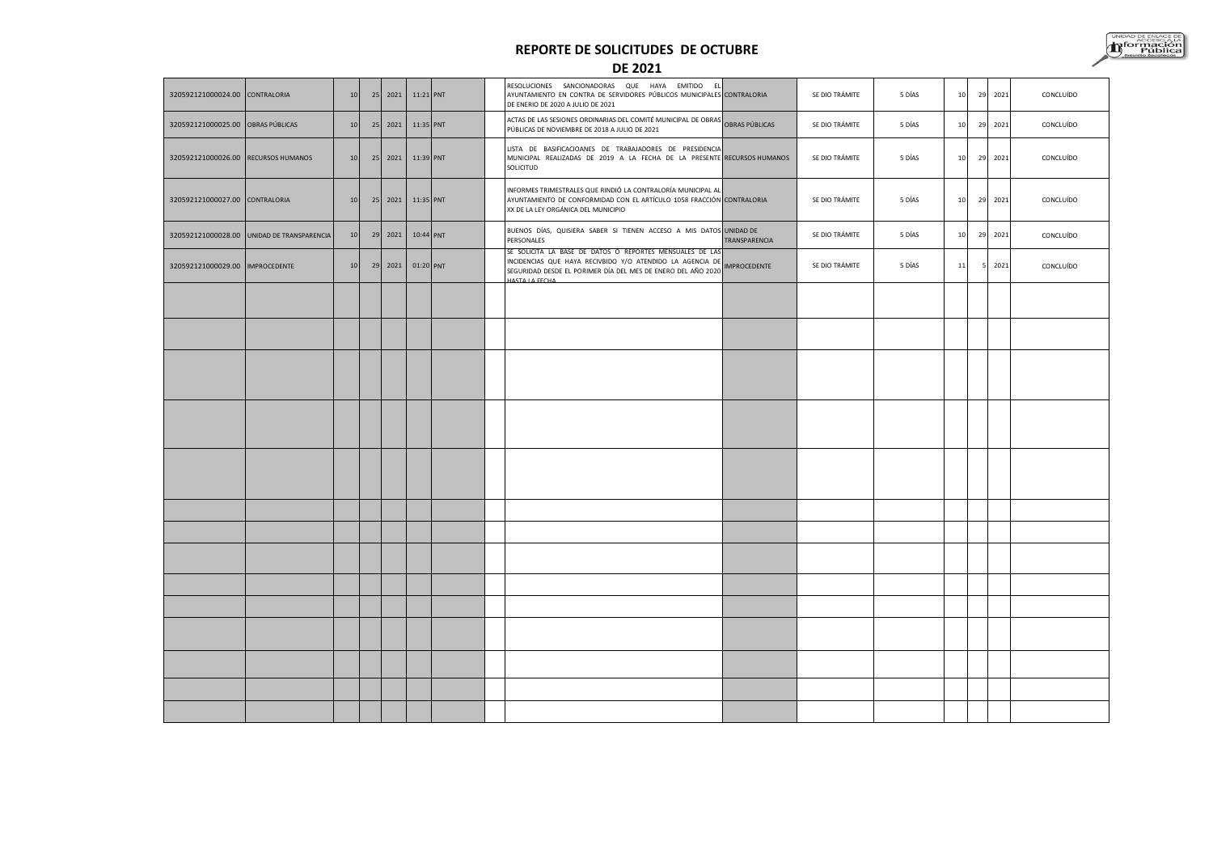#### **REPORTE DE SOLICITUDES DE OCTUBRE**



**DE 2021**

| 320592121000024.00 CONTRALORIA      |                                            | 10 | 25 | 2021    | 11:21 PNT |  | RESOLUCIONES SANCIONADORAS QUE HAYA EMITIDO<br>E<br>AYUNTAMIENTO EN CONTRA DE SERVIDORES PÚBLICOS MUNICIPALES CONTRALORIA<br>DE ENERIO DE 2020 A JULIO DE 2021                                                 |                     | SE DIO TRÁMITE | 5 DÍAS | 10 | 29 | 2021 | CONCLUÍDO |
|-------------------------------------|--------------------------------------------|----|----|---------|-----------|--|----------------------------------------------------------------------------------------------------------------------------------------------------------------------------------------------------------------|---------------------|----------------|--------|----|----|------|-----------|
| 320592121000025.00 OBRAS PÚBLICAS   |                                            | 10 |    | 25 2021 | 11:35 PNT |  | <b>ACTAS DE LAS SESIONES ORDINARIAS DEL COMITÉ MUNICIPAL DE OBRAS</b><br>ACTAS DE LAS SESIONES ORDINARIAS DEL COMITÉ MUNICIPAL DE OBRAS PÚBLICAS<br>PÚBLICAS DE NOVIEMBRE DE 2018 A JULIO DE 2021              |                     | SE DIO TRÁMITE | 5 DÍAS | 10 | 29 | 2021 | CONCLUÍDO |
| 320592121000026.00 RECURSOS HUMANOS |                                            | 10 |    | 25 2021 | 11:39 PNT |  | LISTA DE BASIFICACIOANES DE TRABAJADORES DE PRESIDENCIA<br>MUNICIPAL REALIZADAS DE 2019 A LA FECHA DE LA PRESENTE RECURSOS HUMANOS<br>SOLICITUD                                                                |                     | SE DIO TRÁMITE | 5 DÍAS | 10 | 29 | 2021 | CONCLUÍDO |
| 320592121000027.00 CONTRALORIA      |                                            | 10 |    | 25 2021 | 11:35 PNT |  | INFORMES TRIMESTRALES QUE RINDIÓ LA CONTRALORÍA MUNICIPAL AL<br>AYUNTAMIENTO DE CONFORMIDAD CON EL ARTÍCULO 1058 FRACCIÓN CONTRALORIA<br>XX DE LA LEY ORGÁNICA DEL MUNICIPIO                                   |                     | SE DIO TRÁMITE | 5 DÍAS | 10 | 29 | 2021 | CONCLUÍDO |
|                                     | 320592121000028.00 UNIDAD DE TRANSPARENCIA | 10 | 29 | 2021    | 10:44 PNT |  | BUENOS DÍAS, QUISIERA SABER SI TIENEN ACCESO A MIS DATOS UNIDAD DE<br>PERSONALES                                                                                                                               | TRANSPARENCIA       | SE DIO TRÁMITE | 5 DÍAS | 10 | 29 | 2021 | CONCLUÍDO |
| 320592121000029.00 IMPROCEDENTE     |                                            | 10 | 29 | 2021    | 01:20 PNT |  | SE SOLICITA LA BASE DE DATOS O REPORTES MENSUALES DE LAS<br>INCIDENCIAS QUE HAYA RECIVBIDO Y/O ATENDIDO LA AGENCIA DE<br>SEGURIDAD DESDE EL PORIMER DÍA DEL MES DE ENERO DEL AÑO 2020<br><b>HASTA LA FECHA</b> | <b>IMPROCEDENTE</b> | SE DIO TRÁMITE | 5 DÍAS | 11 |    | 2021 | CONCLUÍDO |
|                                     |                                            |    |    |         |           |  |                                                                                                                                                                                                                |                     |                |        |    |    |      |           |
|                                     |                                            |    |    |         |           |  |                                                                                                                                                                                                                |                     |                |        |    |    |      |           |
|                                     |                                            |    |    |         |           |  |                                                                                                                                                                                                                |                     |                |        |    |    |      |           |
|                                     |                                            |    |    |         |           |  |                                                                                                                                                                                                                |                     |                |        |    |    |      |           |
|                                     |                                            |    |    |         |           |  |                                                                                                                                                                                                                |                     |                |        |    |    |      |           |
|                                     |                                            |    |    |         |           |  |                                                                                                                                                                                                                |                     |                |        |    |    |      |           |
|                                     |                                            |    |    |         |           |  |                                                                                                                                                                                                                |                     |                |        |    |    |      |           |
|                                     |                                            |    |    |         |           |  |                                                                                                                                                                                                                |                     |                |        |    |    |      |           |
|                                     |                                            |    |    |         |           |  |                                                                                                                                                                                                                |                     |                |        |    |    |      |           |
|                                     |                                            |    |    |         |           |  |                                                                                                                                                                                                                |                     |                |        |    |    |      |           |
|                                     |                                            |    |    |         |           |  |                                                                                                                                                                                                                |                     |                |        |    |    |      |           |
|                                     |                                            |    |    |         |           |  |                                                                                                                                                                                                                |                     |                |        |    |    |      |           |
|                                     |                                            |    |    |         |           |  |                                                                                                                                                                                                                |                     |                |        |    |    |      |           |
|                                     |                                            |    |    |         |           |  |                                                                                                                                                                                                                |                     |                |        |    |    |      |           |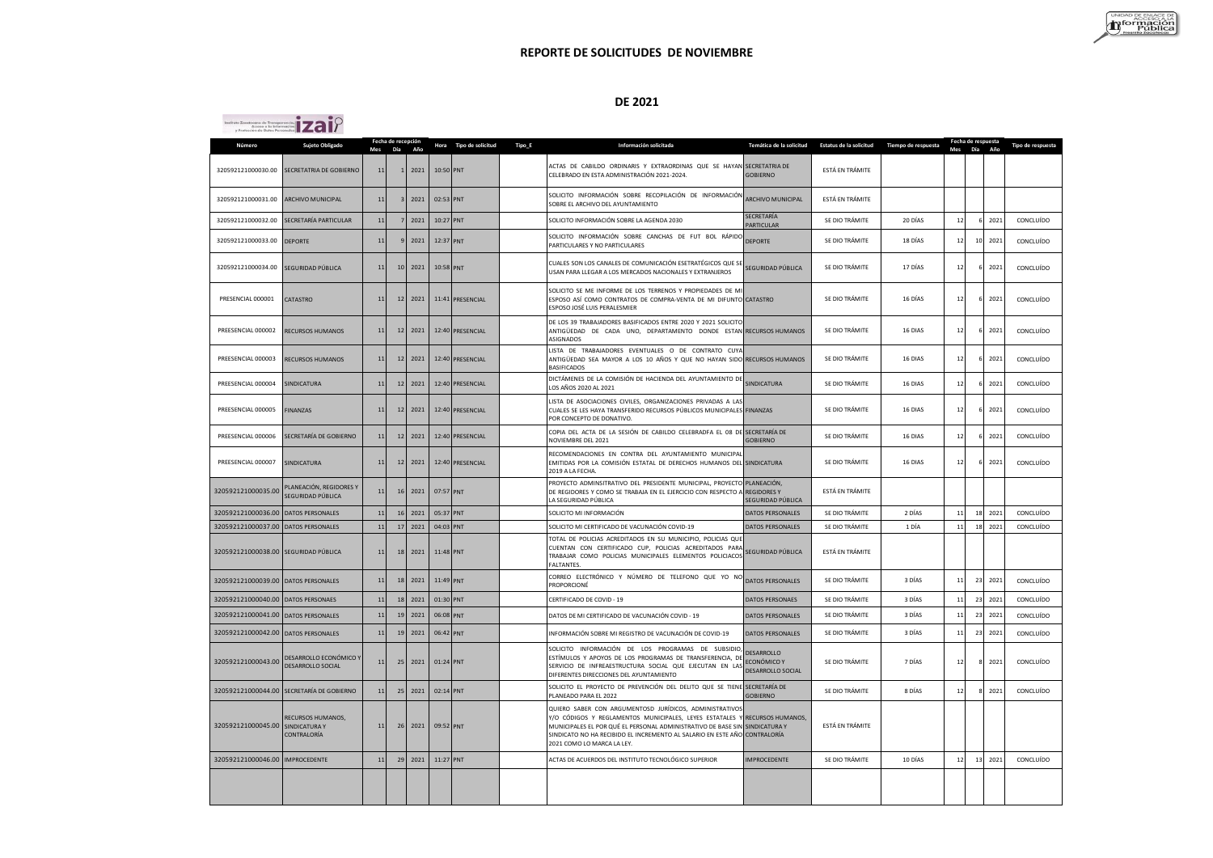#### **DE 2021**

 $i$ 

| Número                               | Sujeto Obligado                                          |        | Fecha de recepción |      |           | Hora Tipo de solicitud | Tipo_E | Información solicitada                                                                                                                                                                                                                                                                        | Temática de la solicitud                              | Estatus de la solicitud | Tiempo de respuesta |     | Fecha de respuesta |      | Tipo de respuesta |
|--------------------------------------|----------------------------------------------------------|--------|--------------------|------|-----------|------------------------|--------|-----------------------------------------------------------------------------------------------------------------------------------------------------------------------------------------------------------------------------------------------------------------------------------------------|-------------------------------------------------------|-------------------------|---------------------|-----|--------------------|------|-------------------|
|                                      |                                                          | Mes    | Día                | Año  |           |                        |        |                                                                                                                                                                                                                                                                                               |                                                       |                         |                     | Mes | Día                | Año  |                   |
|                                      | 320592121000030.00 SECRETATRIA DE GOBIERNO               | 11     |                    | 2021 | 10:50 PNT |                        |        | ACTAS DE CABILDO ORDINARIS Y EXTRAORDINAS QUE SE HAYAN SECRETATRIA DE<br>CELEBRADO EN ESTA ADMINISTRACIÓN 2021-2024.                                                                                                                                                                          | <b>GOBIERNO</b>                                       | ESTÁ EN TRÁMITE         |                     |     |                    |      |                   |
| 320592121000031.00                   | ARCHIVO MUNICIPAL                                        | 11     |                    | 2021 | 02:53 PNT |                        |        | SOLICITO INFORMACIÓN SOBRE RECOPILACIÓN DE INFORMACIÓN<br>SOBRE EL ARCHIVO DEL AYUNTAMIENTO                                                                                                                                                                                                   | <b>ARCHIVO MUNICIPAL</b>                              | ESTÁ EN TRÁMITE         |                     |     |                    |      |                   |
| 320592121000032.00                   | SECRETARÍA PARTICULAR                                    | 11     |                    | 2021 |           | 10:27 PNT              |        | SOLICITO INFORMACIÓN SOBRE LA AGENDA 2030                                                                                                                                                                                                                                                     | SECRETARÍA<br>PARTICULAR                              | SE DIO TRÁMITE          | 20 DÍAS             | 12  |                    | 2021 | CONCLUÍDO         |
| 320592121000033.00                   | <b>DEPORTE</b>                                           | 11     |                    | 2021 | 12:37 PNT |                        |        | SOLICITO INFORMACIÓN SOBRE CANCHAS DE FUT BOL RÁPIDO<br>PARTICULARES Y NO PARTICULARES                                                                                                                                                                                                        | <b>DEPORTE</b>                                        | SE DIO TRÁMITE          | 18 DÍAS             | 12  | 10                 | 2021 | CONCLUÍDO         |
| 320592121000034.00 SEGURIDAD PÚBLICA |                                                          | 11     |                    | 2021 | 10:58 PNT |                        |        | CUALES SON LOS CANALES DE COMUNICACIÓN ESETRATÉGICOS QUE SE<br>USAN PARA LLEGAR A LOS MERCADOS NACIONALES Y EXTRANJEROS                                                                                                                                                                       | SEGURIDAD PÚBLICA                                     | SE DIO TRÁMITE          | 17 DÍAS             | 12  |                    | 2021 | CONCLUÍDO         |
| PRESENCIAL 000001                    | CATASTRO                                                 | 11     | 12                 | 2021 |           | 11:41 PRESENCIAL       |        | SOLICITO SE ME INFORME DE LOS TERRENOS Y PROPIEDADES DE MI<br>ESPOSO ASÍ COMO CONTRATOS DE COMPRA-VENTA DE MI DIFUNTO CATASTRO<br>ESPOSO JOSÉ LUIS PERALESMIER                                                                                                                                |                                                       | SE DIO TRÁMITE          | 16 DÍAS             | 12  |                    | 2021 | CONCLUÍDO         |
| PREESENCIAL 000002                   | RECURSOS HUMANOS                                         | 11     | 12                 | 2021 |           | 12:40 PRESENCIAL       |        | DE LOS 39 TRABAJADORES BASIFICADOS ENTRE 2020 Y 2021 SOLICITO<br>ANTIGÜEDAD DE CADA UNO, DEPARTAMENTO DONDE ESTAN RECURSOS HUMANOS<br>ASIGNADOS                                                                                                                                               |                                                       | SE DIO TRÁMITE          | 16 DIAS             | 12  |                    | 2021 | CONCLUÍDO         |
| PREESENCIAL 000003                   | RECURSOS HUMANOS                                         | 11     | 12                 | 2021 |           | 12:40 PRESENCIAL       |        | LISTA DE TRABAJADORES EVENTUALES O DE CONTRATO CUYA<br>ANTIGÜEDAD SEA MAYOR A LOS 10 AÑOS Y QUE NO HAYAN SIDO RECURSOS HUMANOS<br>RASIFICADOS                                                                                                                                                 |                                                       | SE DIO TRÁMITE          | 16 DIAS             | 12  |                    | 2021 | CONCLUÍDO         |
| PREESENCIAL 000004                   | SINDICATURA                                              | 11     |                    | 2021 | 12:40     | PRESENCIAL             |        | DICTÁMENES DE LA COMISIÓN DE HACIENDA DEL AYUNTAMIENTO DI<br>LOS AÑOS 2020 AL 2021                                                                                                                                                                                                            | SINDICATURA                                           | SE DIO TRÁMITE          | 16 DIAS             | 12  |                    | 2021 | CONCLUÍDO         |
| PREESENCIAL 000005                   | <b>FINANZAS</b>                                          | 11     | 12                 | 2021 |           | 12:40 PRESENCIAL       |        | LISTA DE ASOCIACIONES CIVILES, ORGANIZACIONES PRIVADAS A LA:<br>CUALES SE LES HAYA TRANSFERIDO RECURSOS PÚBLICOS MUNICIPALES FINANZAS<br>POR CONCEPTO DE DONATIVO.                                                                                                                            |                                                       | SE DIO TRÁMITE          | 16 DIAS             | 12  |                    | 2021 | CONCLUÍDO         |
| PREESENCIAL 000006                   | SECRETARÍA DE GOBIERNO                                   | 11     | 1 <sup>2</sup>     | 2021 |           | 12:40 PRESENCIAL       |        | COPIA DEL ACTA DE LA SESIÓN DE CABILDO CELEBRADFA EL 08 DE<br>NOVIEMBRE DEL 2021                                                                                                                                                                                                              | SECRETARÍA DE<br>GOBIFRNO                             | SE DIO TRÁMITE          | 16 DIAS             | 12  |                    | 2021 | CONCLUÍDO         |
| PREESENCIAL 000007                   | <b>SINDICATURA</b>                                       | 11     | 1 <sup>2</sup>     | 2021 |           | 12:40 PRESENCIAL       |        | RECOMENDACIONES EN CONTRA DEL AYUNTAMIENTO MUNICIPA<br>EMITIDAS POR LA COMISIÓN ESTATAL DE DERECHOS HUMANOS DEL SINDICATURA<br>2019 A LA FECHA.                                                                                                                                               |                                                       | SE DIO TRÁMITE          | 16 DIAS             | 12  |                    | 2021 | CONCLUÍDO         |
| 320592121000035.00                   | PLANEACIÓN, REGIDORES Y<br>SEGURIDAD PÚBLICA             | $11\,$ | $\mathbf{1}$       | 2021 | 07:57 PNT |                        |        | PROYECTO ADMINSITRATIVO DEL PRESIDENTE MUNICIPAL, PROYECTO PLANEACIÓN,<br>DE REGIDORES Y COMO SE TRABAJA EN EL EJERCICIO CON RESPECTO A<br>LA SEGURIDAD PÚBLICA                                                                                                                               | <b>REGIDORES Y</b><br>SEGURIDAD PÚBLICA               | ESTÁ EN TRÁMITE         |                     |     |                    |      |                   |
| 320592121000036.00                   | <b>DATOS PERSONALES</b>                                  | 11     | 16                 | 2021 | 05:37 PNT |                        |        | SOLICITO MI INFORMACIÓN                                                                                                                                                                                                                                                                       | DATOS PERSONALES                                      | SE DIO TRÁMITE          | 2 DÍAS              | 11  | 18                 | 2021 | CONCLUÍDO         |
| 320592121000037.00                   | <b>DATOS PERSONALES</b>                                  | 11     | 17                 | 2021 | 04:03 PNT |                        |        | SOLICITO MI CERTIFICADO DE VACUNACIÓN COVID-19                                                                                                                                                                                                                                                | DATOS PERSONALES                                      | SE DIO TRÁMITE          | 1 DÍA               | 11  | 18                 | 2021 | CONCLUÍDO         |
| 320592121000038.00 SEGURIDAD PÚBLICA |                                                          | $11$   | 13                 | 2021 | 11:48 PNT |                        |        | TOTAL DE POLICIAS ACREDITADOS EN SU MUNICIPIO, POLICIAS QUI<br>CUENTAN CON CERTIFICADO CUP, POLICIAS ACREDITADOS PARA<br>TRABAJAR COMO POLICIAS MUNICIPALES ELEMENTOS POLICIACOS<br><b>FALTANTES</b>                                                                                          | SEGURIDAD PÚBLICA                                     | ESTÁ EN TRÁMITE         |                     |     |                    |      |                   |
| 320592121000039.00 DATOS PERSONALES  |                                                          | $11$   |                    | 2021 | 11:49 PNT |                        |        | CORREO ELECTRÓNICO Y NÚMERO DE TELEFONO QUE YO NO<br>PROPORCIONÉ                                                                                                                                                                                                                              | DATOS PERSONALES                                      | SE DIO TRÁMITE          | 3 DÍAS              | 1   | 23                 | 2021 | CONCLUÍDO         |
| 320592121000040.00 DATOS PERSONAES   |                                                          | 11     | 18                 | 2021 | 01:30 PNT |                        |        | CERTIFICADO DE COVID - 19                                                                                                                                                                                                                                                                     | DATOS PERSONAES                                       | SE DIO TRÁMITE          | 3 DÍAS              | 11  | 23                 | 2021 | CONCLUÍDO         |
| 320592121000041.00 DATOS PERSONALES  |                                                          | 11     | 1 <sup>1</sup>     | 2021 | 06:08 PNT |                        |        | DATOS DE MI CERTIFICADO DE VACUNACIÓN COVID - 19                                                                                                                                                                                                                                              | DATOS PERSONALES                                      | SE DIO TRÁMITE          | 3 DÍAS              | 11  | 23                 | 2021 | CONCLUÍDO         |
| 320592121000042.00                   | <b>DATOS PERSONALES</b>                                  | 11     | $\mathbf{1}$       | 2021 | 06:42     | PNT                    |        | INFORMACIÓN SOBRE MI REGISTRO DE VACUNACIÓN DE COVID-19                                                                                                                                                                                                                                       | <b>DATOS PERSONALES</b>                               | SE DIO TRÁMITE          | 3 DÍAS              | 1:  | 23                 | 2021 | CONCLUÍDO         |
| 320592121000043.00                   | DESARROLLO ECONÓMICO Y<br><b>DESARROLLO SOCIAL</b>       | 11     | 25                 | 2021 | 01:24 PNT |                        |        | SOLICITO INFORMACIÓN DE LOS PROGRAMAS DE SUBSIDIO<br>ESTÍMULOS Y APOYOS DE LOS PROGRAMAS DE TRANSFERENCIA, DE<br>SERVICIO DE INFREAESTRUCTURA SOCIAL QUE EJECUTAN EN LA!<br>DIFERENTES DIRECCIONES DEL AYUNTAMIENTO                                                                           | <b>DESARROLLO</b><br>ECONÓMICO Y<br>DESARROLLO SOCIAL | SE DIO TRÁMITE          | 7 DÍAS              | 12  |                    | 2021 | CONCLUÍDO         |
|                                      | 320592121000044.00 SECRETARÍA DE GOBIERNO                | $11$   | 2!                 | 2021 | 02:14 PNT |                        |        | SOLICITO EL PROYECTO DE PREVENCIÓN DEL DELITO QUE SE TIENE SECRETARÍA DE<br>PLANEADO PARA EL 2022                                                                                                                                                                                             | GOBIFRNO                                              | SE DIO TRÁMITE          | 8 DÍAS              | 12  |                    | 2021 | CONCLUÍDO         |
| 320592121000045.00                   | RECURSOS HUMANOS,<br><b>SINDICATURA Y</b><br>CONTRALORÍA | 11     | 26                 | 2021 | 09:52 PNT |                        |        | QUIERO SABER CON ARGUMENTOSD JURÍDICOS, ADMINISTRATIVO:<br>Y/O CÓDIGOS Y REGLAMENTOS MUNICIPALES, LEYES ESTATALES<br>MUNICIPALES EL POR QUÉ EL PERSONAL ADMINISTRATIVO DE BASE SIN<br>SINDICATO NO HA RECIBIDO EL INCREMENTO AL SALARIO EN ESTE AÑO CONTRALORÍA<br>2021 COMO LO MARCA LA LEY. | RECURSOS HUMANOS,<br><b>SINDICATURA Y</b>             | ESTÁ EN TRÁMITE         |                     |     |                    |      |                   |
| 320592121000046.00 IMPROCEDENTE      |                                                          | 11     | 2 <sup>c</sup>     | 2021 | 11:27 PNT |                        |        | ACTAS DE ACUERDOS DEL INSTITUTO TECNOLÓGICO SUPERIOR                                                                                                                                                                                                                                          | <b>IMPROCEDENTE</b>                                   | SE DIO TRÁMITE          | 10 DÍAS             | 12  | 13                 | 2021 | CONCLUÍDO         |
|                                      |                                                          |        |                    |      |           |                        |        |                                                                                                                                                                                                                                                                                               |                                                       |                         |                     |     |                    |      |                   |